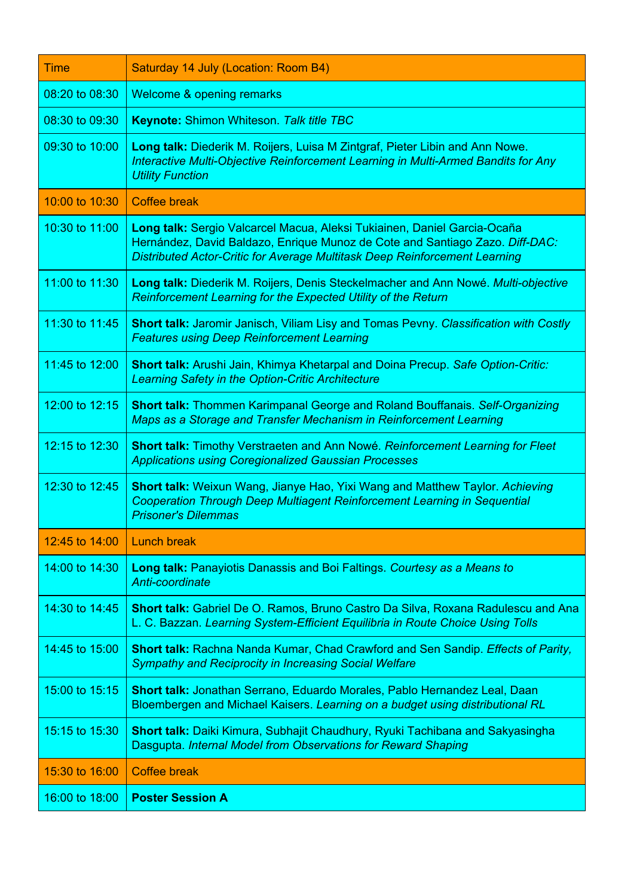| <b>Time</b>    | Saturday 14 July (Location: Room B4)                                                                                                                                                                                                   |  |
|----------------|----------------------------------------------------------------------------------------------------------------------------------------------------------------------------------------------------------------------------------------|--|
| 08:20 to 08:30 | Welcome & opening remarks                                                                                                                                                                                                              |  |
| 08:30 to 09:30 | <b>Keynote: Shimon Whiteson. Talk title TBC</b>                                                                                                                                                                                        |  |
| 09:30 to 10:00 | Long talk: Diederik M. Roijers, Luisa M Zintgraf, Pieter Libin and Ann Nowe.<br>Interactive Multi-Objective Reinforcement Learning in Multi-Armed Bandits for Any<br><b>Utility Function</b>                                           |  |
| 10:00 to 10:30 | <b>Coffee break</b>                                                                                                                                                                                                                    |  |
| 10:30 to 11:00 | Long talk: Sergio Valcarcel Macua, Aleksi Tukiainen, Daniel Garcia-Ocaña<br>Hernández, David Baldazo, Enrique Munoz de Cote and Santiago Zazo. Diff-DAC:<br>Distributed Actor-Critic for Average Multitask Deep Reinforcement Learning |  |
| 11:00 to 11:30 | Long talk: Diederik M. Roijers, Denis Steckelmacher and Ann Nowé. Multi-objective<br><b>Reinforcement Learning for the Expected Utility of the Return</b>                                                                              |  |
| 11:30 to 11:45 | <b>Short talk: Jaromir Janisch, Viliam Lisy and Tomas Pevny. Classification with Costly</b><br><b>Features using Deep Reinforcement Learning</b>                                                                                       |  |
| 11:45 to 12:00 | Short talk: Arushi Jain, Khimya Khetarpal and Doina Precup. Safe Option-Critic:<br><b>Learning Safety in the Option-Critic Architecture</b>                                                                                            |  |
| 12:00 to 12:15 | <b>Short talk: Thommen Karimpanal George and Roland Bouffanais. Self-Organizing</b><br>Maps as a Storage and Transfer Mechanism in Reinforcement Learning                                                                              |  |
| 12:15 to 12:30 | <b>Short talk: Timothy Verstraeten and Ann Nowé. Reinforcement Learning for Fleet</b><br><b>Applications using Coregionalized Gaussian Processes</b>                                                                                   |  |
| 12:30 to 12:45 | <b>Short talk:</b> Weixun Wang, Jianye Hao, Yixi Wang and Matthew Taylor. Achieving<br>Cooperation Through Deep Multiagent Reinforcement Learning in Sequential<br><b>Prisoner's Dilemmas</b>                                          |  |
| 12:45 to 14:00 | <b>Lunch break</b>                                                                                                                                                                                                                     |  |
| 14:00 to 14:30 | <b>Long talk: Panayiotis Danassis and Boi Faltings. Courtesy as a Means to</b><br>Anti-coordinate                                                                                                                                      |  |
| 14:30 to 14:45 | Short talk: Gabriel De O. Ramos, Bruno Castro Da Silva, Roxana Radulescu and Ana<br>L. C. Bazzan. Learning System-Efficient Equilibria in Route Choice Using Tolls                                                                     |  |
| 14:45 to 15:00 | Short talk: Rachna Nanda Kumar, Chad Crawford and Sen Sandip. Effects of Parity,<br><b>Sympathy and Reciprocity in Increasing Social Welfare</b>                                                                                       |  |
| 15:00 to 15:15 | Short talk: Jonathan Serrano, Eduardo Morales, Pablo Hernandez Leal, Daan<br>Bloembergen and Michael Kaisers. Learning on a budget using distributional RL                                                                             |  |
| 15:15 to 15:30 | Short talk: Daiki Kimura, Subhajit Chaudhury, Ryuki Tachibana and Sakyasingha<br>Dasgupta. Internal Model from Observations for Reward Shaping                                                                                         |  |
| 15:30 to 16:00 | <b>Coffee break</b>                                                                                                                                                                                                                    |  |
| 16:00 to 18:00 | <b>Poster Session A</b>                                                                                                                                                                                                                |  |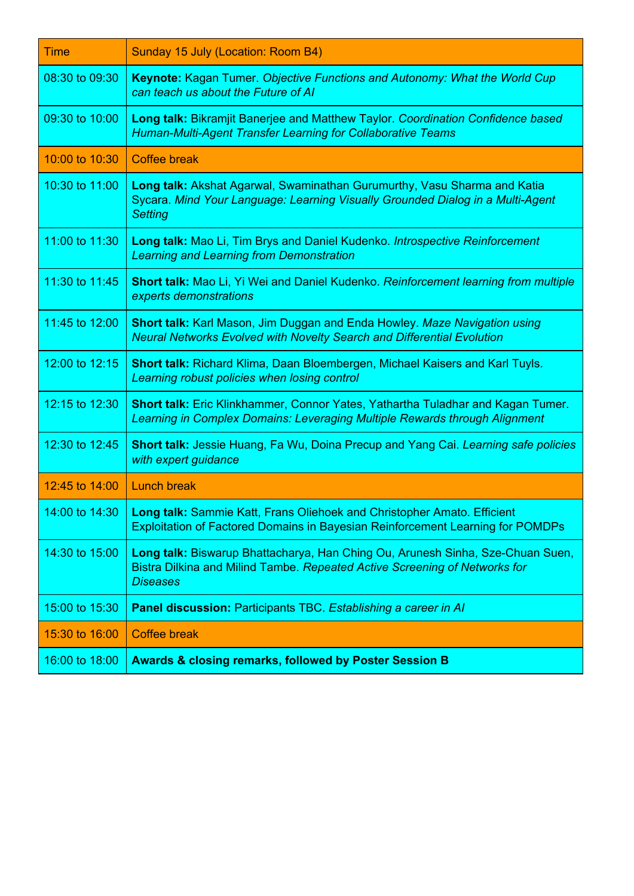| <b>Time</b>    | Sunday 15 July (Location: Room B4)                                                                                                                                                |  |
|----------------|-----------------------------------------------------------------------------------------------------------------------------------------------------------------------------------|--|
| 08:30 to 09:30 | <b>Keynote:</b> Kagan Tumer. Objective Functions and Autonomy: What the World Cup<br>can teach us about the Future of AI                                                          |  |
| 09:30 to 10:00 | Long talk: Bikramjit Banerjee and Matthew Taylor. Coordination Confidence based<br>Human-Multi-Agent Transfer Learning for Collaborative Teams                                    |  |
| 10:00 to 10:30 | <b>Coffee break</b>                                                                                                                                                               |  |
| 10:30 to 11:00 | Long talk: Akshat Agarwal, Swaminathan Gurumurthy, Vasu Sharma and Katia<br>Sycara. Mind Your Language: Learning Visually Grounded Dialog in a Multi-Agent<br><b>Setting</b>      |  |
| 11:00 to 11:30 | Long talk: Mao Li, Tim Brys and Daniel Kudenko. Introspective Reinforcement<br><b>Learning and Learning from Demonstration</b>                                                    |  |
| 11:30 to 11:45 | <b>Short talk:</b> Mao Li, Yi Wei and Daniel Kudenko. Reinforcement learning from multiple<br>experts demonstrations                                                              |  |
| 11:45 to 12:00 | Short talk: Karl Mason, Jim Duggan and Enda Howley. Maze Navigation using<br><b>Neural Networks Evolved with Novelty Search and Differential Evolution</b>                        |  |
| 12:00 to 12:15 | Short talk: Richard Klima, Daan Bloembergen, Michael Kaisers and Karl Tuyls.<br>Learning robust policies when losing control                                                      |  |
| 12:15 to 12:30 | Short talk: Eric Klinkhammer, Connor Yates, Yathartha Tuladhar and Kagan Tumer.<br>Learning in Complex Domains: Leveraging Multiple Rewards through Alignment                     |  |
| 12:30 to 12:45 | <b>Short talk: Jessie Huang, Fa Wu, Doina Precup and Yang Cai. Learning safe policies</b><br>with expert guidance                                                                 |  |
| 12:45 to 14:00 | <b>Lunch break</b>                                                                                                                                                                |  |
|                | 14:00 to 14:30   Long talk: Sammie Katt, Frans Oliehoek and Christopher Amato. Efficient<br><b>Exploitation of Factored Domains in Bayesian Reinforcement Learning for POMDPs</b> |  |
| 14:30 to 15:00 | Long talk: Biswarup Bhattacharya, Han Ching Ou, Arunesh Sinha, Sze-Chuan Suen,<br>Bistra Dilkina and Milind Tambe. Repeated Active Screening of Networks for<br><b>Diseases</b>   |  |
| 15:00 to 15:30 | Panel discussion: Participants TBC. Establishing a career in AI                                                                                                                   |  |
| 15:30 to 16:00 | <b>Coffee break</b>                                                                                                                                                               |  |
| 16:00 to 18:00 | <b>Awards &amp; closing remarks, followed by Poster Session B</b>                                                                                                                 |  |